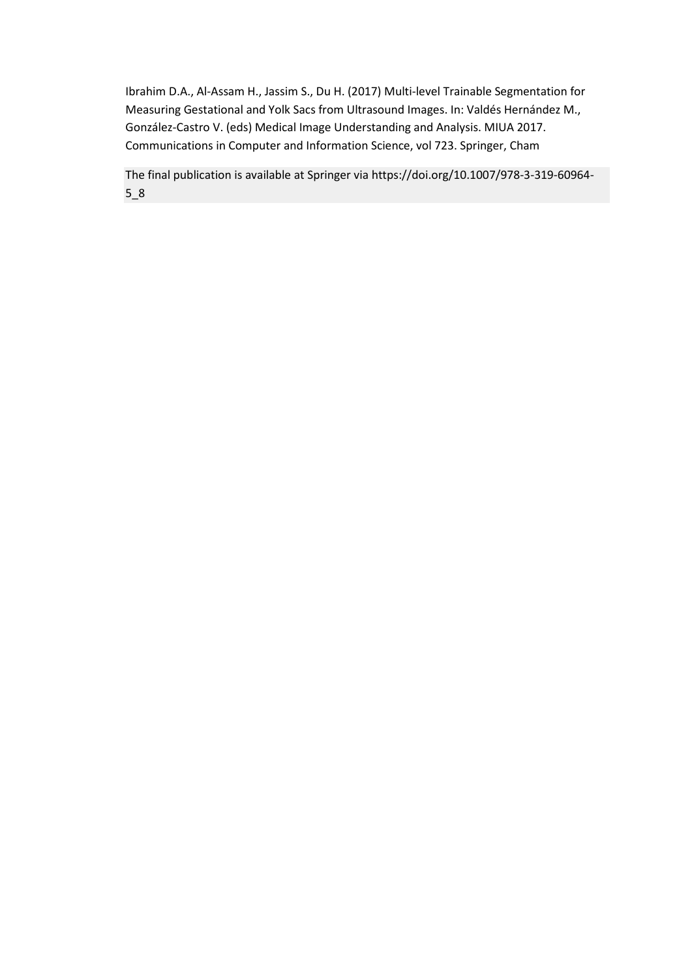Ibrahim D.A., Al-Assam H., Jassim S., Du H. (2017) Multi-level Trainable Segmentation for Measuring Gestational and Yolk Sacs from Ultrasound Images. In: Valdés Hernández M., González-Castro V. (eds) Medical Image Understanding and Analysis. MIUA 2017. Communications in Computer and Information Science, vol 723. Springer, Cham

The final publication is available at Springer via https://doi.org/10.1007/978-3-319-60964- 5\_8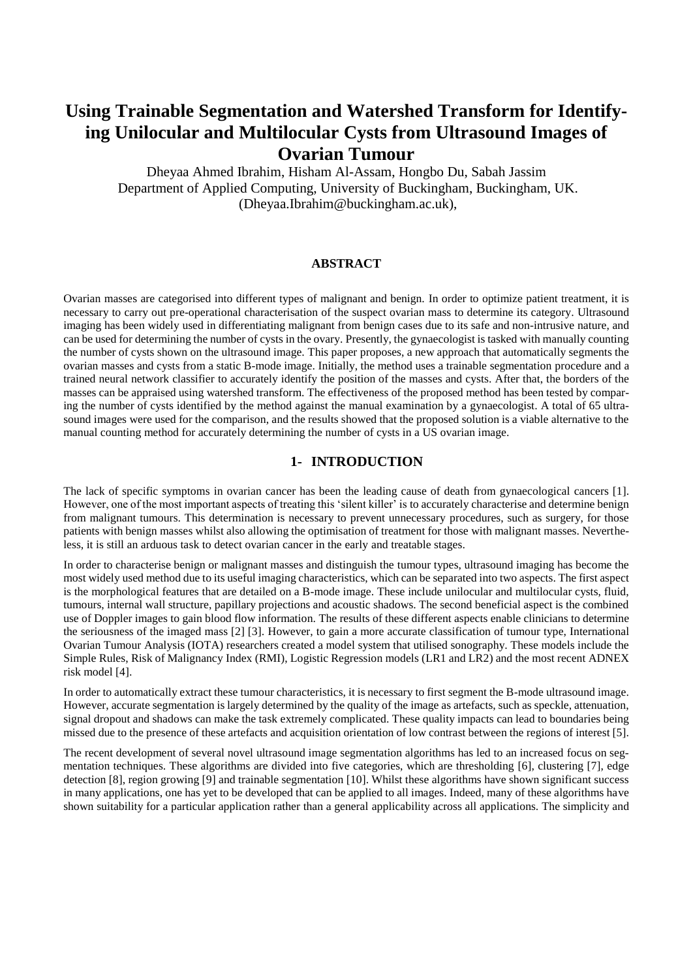# **Using Trainable Segmentation and Watershed Transform for Identifying Unilocular and Multilocular Cysts from Ultrasound Images of Ovarian Tumour**

Dheyaa Ahmed Ibrahim, Hisham Al-Assam, Hongbo Du, Sabah Jassim Department of Applied Computing, University of Buckingham, Buckingham, UK. (Dheyaa.Ibrahim@buckingham.ac.uk),

#### **ABSTRACT**

Ovarian masses are categorised into different types of malignant and benign. In order to optimize patient treatment, it is necessary to carry out pre-operational characterisation of the suspect ovarian mass to determine its category. Ultrasound imaging has been widely used in differentiating malignant from benign cases due to its safe and non-intrusive nature, and can be used for determining the number of cysts in the ovary. Presently, the gynaecologist is tasked with manually counting the number of cysts shown on the ultrasound image. This paper proposes, a new approach that automatically segments the ovarian masses and cysts from a static B-mode image. Initially, the method uses a trainable segmentation procedure and a trained neural network classifier to accurately identify the position of the masses and cysts. After that, the borders of the masses can be appraised using watershed transform. The effectiveness of the proposed method has been tested by comparing the number of cysts identified by the method against the manual examination by a gynaecologist. A total of 65 ultrasound images were used for the comparison, and the results showed that the proposed solution is a viable alternative to the manual counting method for accurately determining the number of cysts in a US ovarian image.

## **1- INTRODUCTION**

The lack of specific symptoms in ovarian cancer has been the leading cause of death from gynaecological cancers [1]. However, one of the most important aspects of treating this 'silent killer' is to accurately characterise and determine benign from malignant tumours. This determination is necessary to prevent unnecessary procedures, such as surgery, for those patients with benign masses whilst also allowing the optimisation of treatment for those with malignant masses. Nevertheless, it is still an arduous task to detect ovarian cancer in the early and treatable stages.

In order to characterise benign or malignant masses and distinguish the tumour types, ultrasound imaging has become the most widely used method due to its useful imaging characteristics, which can be separated into two aspects. The first aspect is the morphological features that are detailed on a B-mode image. These include unilocular and multilocular cysts, fluid, tumours, internal wall structure, papillary projections and acoustic shadows. The second beneficial aspect is the combined use of Doppler images to gain blood flow information. The results of these different aspects enable clinicians to determine the seriousness of the imaged mass [2] [3]. However, to gain a more accurate classification of tumour type, International Ovarian Tumour Analysis (IOTA) researchers created a model system that utilised sonography. These models include the Simple Rules, Risk of Malignancy Index (RMI), Logistic Regression models (LR1 and LR2) and the most recent ADNEX risk model [4].

In order to automatically extract these tumour characteristics, it is necessary to first segment the B-mode ultrasound image. However, accurate segmentation is largely determined by the quality of the image as artefacts, such as speckle, attenuation, signal dropout and shadows can make the task extremely complicated. These quality impacts can lead to boundaries being missed due to the presence of these artefacts and acquisition orientation of low contrast between the regions of interest [5].

The recent development of several novel ultrasound image segmentation algorithms has led to an increased focus on segmentation techniques. These algorithms are divided into five categories, which are thresholding [6], clustering [7], edge detection [8], region growing [9] and trainable segmentation [10]. Whilst these algorithms have shown significant success in many applications, one has yet to be developed that can be applied to all images. Indeed, many of these algorithms have shown suitability for a particular application rather than a general applicability across all applications. The simplicity and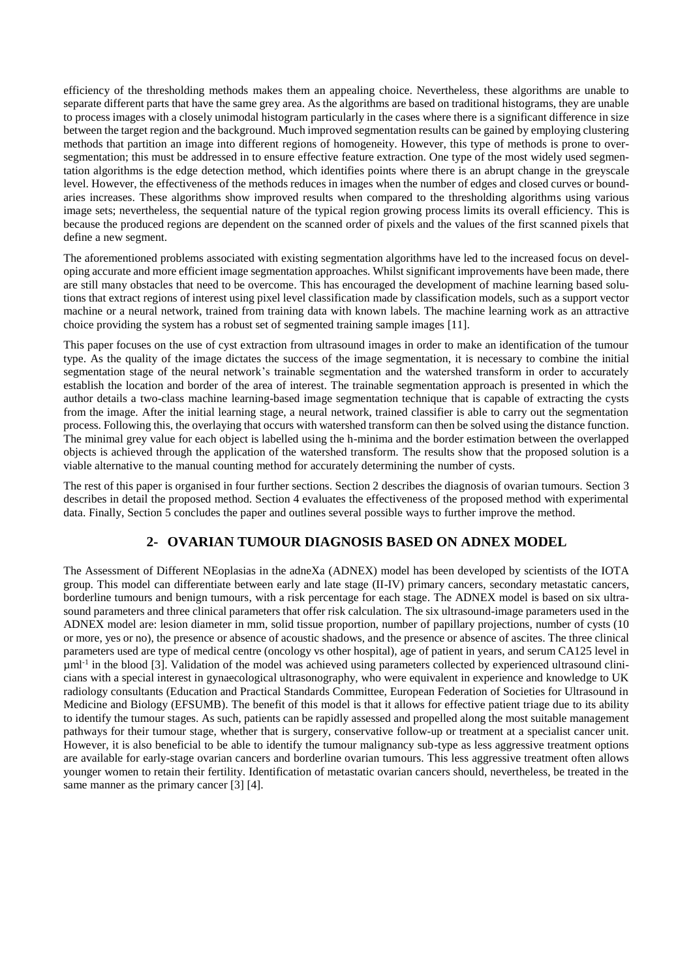efficiency of the thresholding methods makes them an appealing choice. Nevertheless, these algorithms are unable to separate different parts that have the same grey area. As the algorithms are based on traditional histograms, they are unable to process images with a closely unimodal histogram particularly in the cases where there is a significant difference in size between the target region and the background. Much improved segmentation results can be gained by employing clustering methods that partition an image into different regions of homogeneity. However, this type of methods is prone to oversegmentation; this must be addressed in to ensure effective feature extraction. One type of the most widely used segmentation algorithms is the edge detection method, which identifies points where there is an abrupt change in the greyscale level. However, the effectiveness of the methods reduces in images when the number of edges and closed curves or boundaries increases. These algorithms show improved results when compared to the thresholding algorithms using various image sets; nevertheless, the sequential nature of the typical region growing process limits its overall efficiency. This is because the produced regions are dependent on the scanned order of pixels and the values of the first scanned pixels that define a new segment.

The aforementioned problems associated with existing segmentation algorithms have led to the increased focus on developing accurate and more efficient image segmentation approaches. Whilst significant improvements have been made, there are still many obstacles that need to be overcome. This has encouraged the development of machine learning based solutions that extract regions of interest using pixel level classification made by classification models, such as a support vector machine or a neural network, trained from training data with known labels. The machine learning work as an attractive choice providing the system has a robust set of segmented training sample images [11].

This paper focuses on the use of cyst extraction from ultrasound images in order to make an identification of the tumour type. As the quality of the image dictates the success of the image segmentation, it is necessary to combine the initial segmentation stage of the neural network's trainable segmentation and the watershed transform in order to accurately establish the location and border of the area of interest. The trainable segmentation approach is presented in which the author details a two-class machine learning-based image segmentation technique that is capable of extracting the cysts from the image. After the initial learning stage, a neural network, trained classifier is able to carry out the segmentation process. Following this, the overlaying that occurs with watershed transform can then be solved using the distance function. The minimal grey value for each object is labelled using the h-minima and the border estimation between the overlapped objects is achieved through the application of the watershed transform. The results show that the proposed solution is a viable alternative to the manual counting method for accurately determining the number of cysts.

The rest of this paper is organised in four further sections. Section 2 describes the diagnosis of ovarian tumours. Section 3 describes in detail the proposed method. Section 4 evaluates the effectiveness of the proposed method with experimental data. Finally, Section 5 concludes the paper and outlines several possible ways to further improve the method.

# **2- OVARIAN TUMOUR DIAGNOSIS BASED ON ADNEX MODEL**

The Assessment of Different NEoplasias in the adneXa (ADNEX) model has been developed by scientists of the IOTA group. This model can differentiate between early and late stage (II-IV) primary cancers, secondary metastatic cancers, borderline tumours and benign tumours, with a risk percentage for each stage. The ADNEX model is based on six ultrasound parameters and three clinical parameters that offer risk calculation. The six ultrasound-image parameters used in the ADNEX model are: lesion diameter in mm, solid tissue proportion, number of papillary projections, number of cysts (10 or more, yes or no), the presence or absence of acoustic shadows, and the presence or absence of ascites. The three clinical parameters used are type of medical centre (oncology vs other hospital), age of patient in years, and serum CA125 level in µml-1 in the blood [3]. Validation of the model was achieved using parameters collected by experienced ultrasound clinicians with a special interest in gynaecological ultrasonography, who were equivalent in experience and knowledge to UK radiology consultants (Education and Practical Standards Committee, European Federation of Societies for Ultrasound in Medicine and Biology (EFSUMB). The benefit of this model is that it allows for effective patient triage due to its ability to identify the tumour stages. As such, patients can be rapidly assessed and propelled along the most suitable management pathways for their tumour stage, whether that is surgery, conservative follow-up or treatment at a specialist cancer unit. However, it is also beneficial to be able to identify the tumour malignancy sub-type as less aggressive treatment options are available for early-stage ovarian cancers and borderline ovarian tumours. This less aggressive treatment often allows younger women to retain their fertility. Identification of metastatic ovarian cancers should, nevertheless, be treated in the same manner as the primary cancer [3] [4].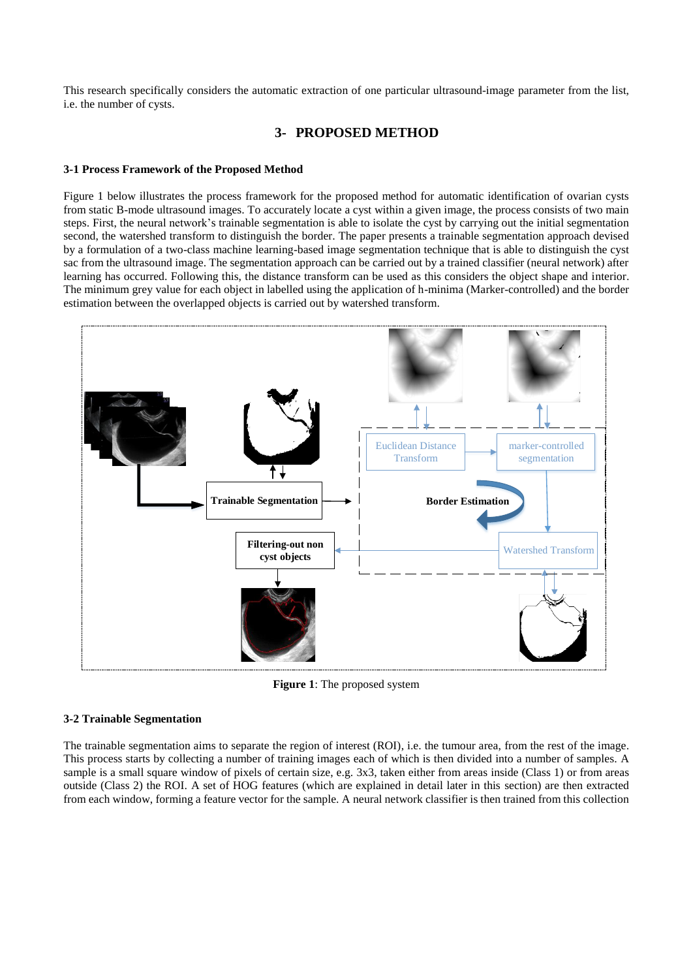This research specifically considers the automatic extraction of one particular ultrasound-image parameter from the list, i.e. the number of cysts.

# **3- PROPOSED METHOD**

#### **3-1 Process Framework of the Proposed Method**

Figure 1 below illustrates the process framework for the proposed method for automatic identification of ovarian cysts from static B-mode ultrasound images. To accurately locate a cyst within a given image, the process consists of two main steps. First, the neural network's trainable segmentation is able to isolate the cyst by carrying out the initial segmentation second, the watershed transform to distinguish the border. The paper presents a trainable segmentation approach devised by a formulation of a two-class machine learning-based image segmentation technique that is able to distinguish the cyst sac from the ultrasound image. The segmentation approach can be carried out by a trained classifier (neural network) after learning has occurred. Following this, the distance transform can be used as this considers the object shape and interior. The minimum grey value for each object in labelled using the application of h-minima (Marker-controlled) and the border estimation between the overlapped objects is carried out by watershed transform.



**Figure 1**: The proposed system

#### **3-2 Trainable Segmentation**

The trainable segmentation aims to separate the region of interest (ROI), i.e. the tumour area, from the rest of the image. This process starts by collecting a number of training images each of which is then divided into a number of samples. A sample is a small square window of pixels of certain size, e.g. 3x3, taken either from areas inside (Class 1) or from areas outside (Class 2) the ROI. A set of HOG features (which are explained in detail later in this section) are then extracted from each window, forming a feature vector for the sample. A neural network classifier is then trained from this collection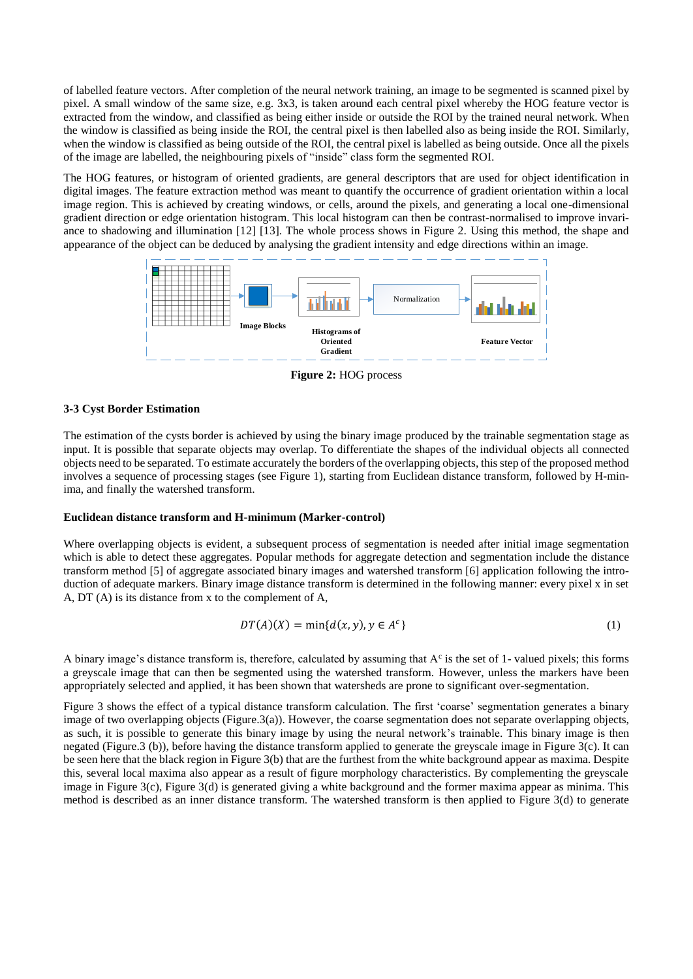of labelled feature vectors. After completion of the neural network training, an image to be segmented is scanned pixel by pixel. A small window of the same size, e.g. 3x3, is taken around each central pixel whereby the HOG feature vector is extracted from the window, and classified as being either inside or outside the ROI by the trained neural network. When the window is classified as being inside the ROI, the central pixel is then labelled also as being inside the ROI. Similarly, when the window is classified as being outside of the ROI, the central pixel is labelled as being outside. Once all the pixels of the image are labelled, the neighbouring pixels of "inside" class form the segmented ROI.

The HOG features, or histogram of oriented gradients, are general descriptors that are used for object identification in digital images. The feature extraction method was meant to quantify the occurrence of gradient orientation within a local image region. This is achieved by creating windows, or cells, around the pixels, and generating a local one-dimensional gradient direction or edge orientation histogram. This local histogram can then be contrast-normalised to improve invariance to shadowing and illumination [12] [13]. The whole process shows in Figure 2. Using this method, the shape and appearance of the object can be deduced by analysing the gradient intensity and edge directions within an image.



**Figure 2:** HOG process

#### **3-3 Cyst Border Estimation**

The estimation of the cysts border is achieved by using the binary image produced by the trainable segmentation stage as input. It is possible that separate objects may overlap. To differentiate the shapes of the individual objects all connected objects need to be separated. To estimate accurately the borders of the overlapping objects, this step of the proposed method involves a sequence of processing stages (see Figure 1), starting from Euclidean distance transform, followed by H-minima, and finally the watershed transform.

#### **Euclidean distance transform and H-minimum (Marker-control)**

Where overlapping objects is evident, a subsequent process of segmentation is needed after initial image segmentation which is able to detect these aggregates. Popular methods for aggregate detection and segmentation include the distance transform method [5] of aggregate associated binary images and watershed transform [6] application following the introduction of adequate markers. Binary image distance transform is determined in the following manner: every pixel x in set A, DT (A) is its distance from x to the complement of A,

$$
DT(A)(X) = \min\{d(x, y), y \in A^c\}
$$
 (1)

A binary image's distance transform is, therefore, calculated by assuming that  $A<sup>c</sup>$  is the set of 1- valued pixels; this forms a greyscale image that can then be segmented using the watershed transform. However, unless the markers have been appropriately selected and applied, it has been shown that watersheds are prone to significant over-segmentation.

Figure 3 shows the effect of a typical distance transform calculation. The first 'coarse' segmentation generates a binary image of two overlapping objects (Figure.3(a)). However, the coarse segmentation does not separate overlapping objects, as such, it is possible to generate this binary image by using the neural network's trainable. This binary image is then negated (Figure.3 (b)), before having the distance transform applied to generate the greyscale image in Figure 3(c). It can be seen here that the black region in Figure 3(b) that are the furthest from the white background appear as maxima. Despite this, several local maxima also appear as a result of figure morphology characteristics. By complementing the greyscale image in Figure 3(c), Figure 3(d) is generated giving a white background and the former maxima appear as minima. This method is described as an inner distance transform. The watershed transform is then applied to Figure 3(d) to generate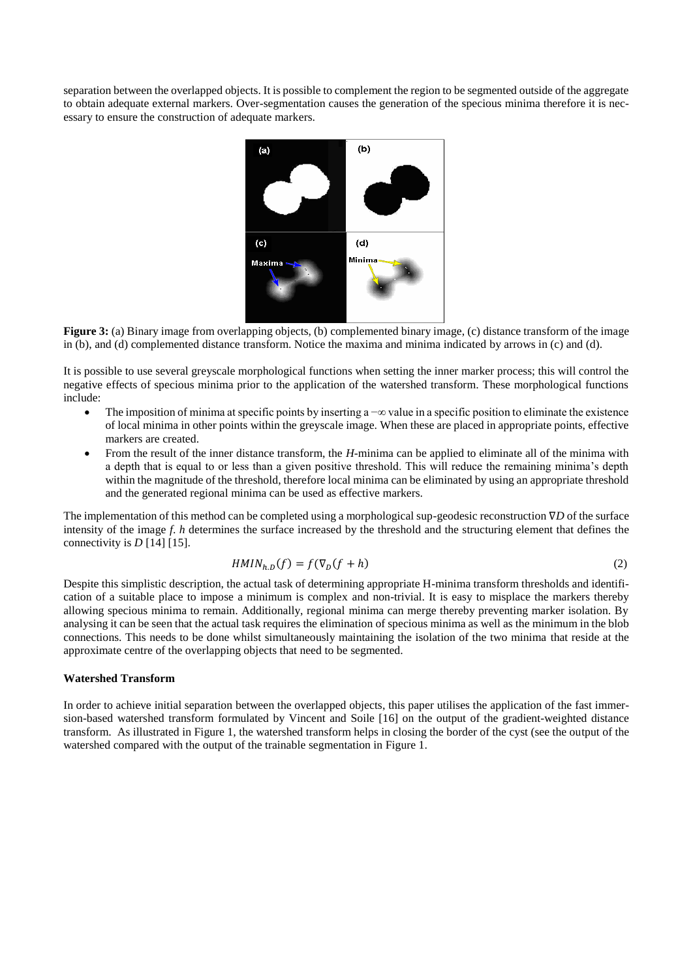separation between the overlapped objects. It is possible to complement the region to be segmented outside of the aggregate to obtain adequate external markers. Over-segmentation causes the generation of the specious minima therefore it is necessary to ensure the construction of adequate markers.



**Figure 3:** (a) Binary image from overlapping objects, (b) complemented binary image, (c) distance transform of the image in (b), and (d) complemented distance transform. Notice the maxima and minima indicated by arrows in (c) and (d).

It is possible to use several greyscale morphological functions when setting the inner marker process; this will control the negative effects of specious minima prior to the application of the watershed transform. These morphological functions include:

- The imposition of minima at specific points by inserting a  $-\infty$  value in a specific position to eliminate the existence of local minima in other points within the greyscale image. When these are placed in appropriate points, effective markers are created.
- From the result of the inner distance transform, the *H*-minima can be applied to eliminate all of the minima with a depth that is equal to or less than a given positive threshold. This will reduce the remaining minima's depth within the magnitude of the threshold, therefore local minima can be eliminated by using an appropriate threshold and the generated regional minima can be used as effective markers.

The implementation of this method can be completed using a morphological sup-geodesic reconstruction ∇*D* of the surface intensity of the image *f*. *h* determines the surface increased by the threshold and the structuring element that defines the connectivity is  $D$  [14] [15].

$$
HMIN_{h,D}(f) = f(\nabla_D(f+h))
$$
\n(2)

Despite this simplistic description, the actual task of determining appropriate H-minima transform thresholds and identification of a suitable place to impose a minimum is complex and non-trivial. It is easy to misplace the markers thereby allowing specious minima to remain. Additionally, regional minima can merge thereby preventing marker isolation. By analysing it can be seen that the actual task requires the elimination of specious minima as well as the minimum in the blob connections. This needs to be done whilst simultaneously maintaining the isolation of the two minima that reside at the approximate centre of the overlapping objects that need to be segmented.

#### **Watershed Transform**

In order to achieve initial separation between the overlapped objects, this paper utilises the application of the fast immersion-based watershed transform formulated by Vincent and Soile [16] on the output of the gradient-weighted distance transform. As illustrated in Figure 1, the watershed transform helps in closing the border of the cyst (see the output of the watershed compared with the output of the trainable segmentation in Figure 1.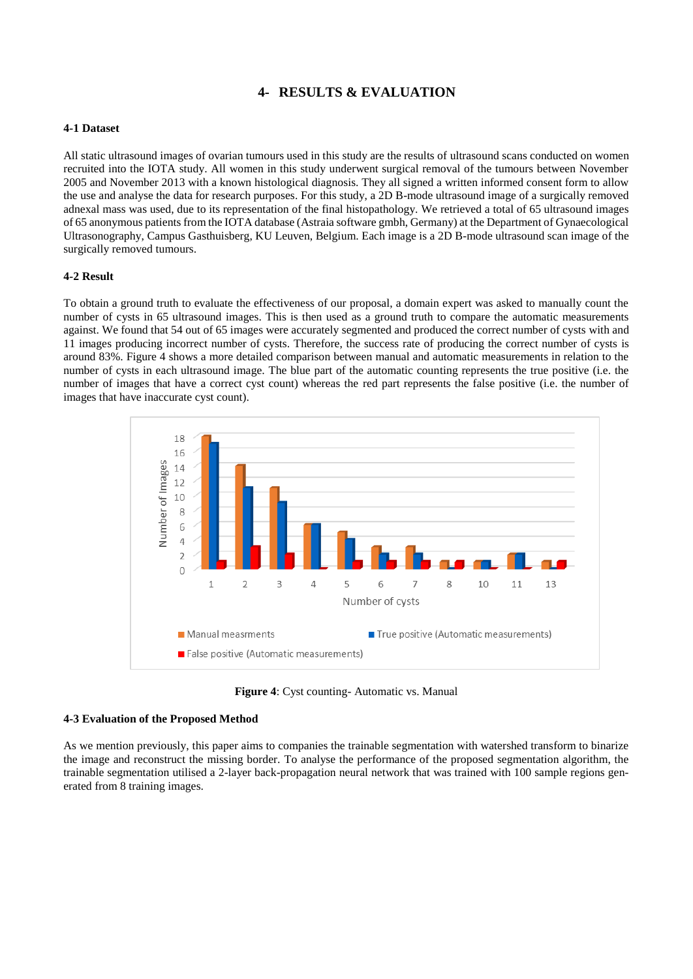# **4- RESULTS & EVALUATION**

#### **4-1 Dataset**

All static ultrasound images of ovarian tumours used in this study are the results of ultrasound scans conducted on women recruited into the IOTA study. All women in this study underwent surgical removal of the tumours between November 2005 and November 2013 with a known histological diagnosis. They all signed a written informed consent form to allow the use and analyse the data for research purposes. For this study, a 2D B-mode ultrasound image of a surgically removed adnexal mass was used, due to its representation of the final histopathology. We retrieved a total of 65 ultrasound images of 65 anonymous patients from the IOTA database (Astraia software gmbh, Germany) at the Department of Gynaecological Ultrasonography, Campus Gasthuisberg, KU Leuven, Belgium. Each image is a 2D B-mode ultrasound scan image of the surgically removed tumours.

#### **4-2 Result**

To obtain a ground truth to evaluate the effectiveness of our proposal, a domain expert was asked to manually count the number of cysts in 65 ultrasound images. This is then used as a ground truth to compare the automatic measurements against. We found that 54 out of 65 images were accurately segmented and produced the correct number of cysts with and 11 images producing incorrect number of cysts. Therefore, the success rate of producing the correct number of cysts is around 83%. Figure 4 shows a more detailed comparison between manual and automatic measurements in relation to the number of cysts in each ultrasound image. The blue part of the automatic counting represents the true positive (i.e. the number of images that have a correct cyst count) whereas the red part represents the false positive (i.e. the number of images that have inaccurate cyst count).



**Figure 4**: Cyst counting- Automatic vs. Manual

#### **4-3 Evaluation of the Proposed Method**

As we mention previously, this paper aims to companies the trainable segmentation with watershed transform to binarize the image and reconstruct the missing border. To analyse the performance of the proposed segmentation algorithm, the trainable segmentation utilised a 2-layer back-propagation neural network that was trained with 100 sample regions generated from 8 training images.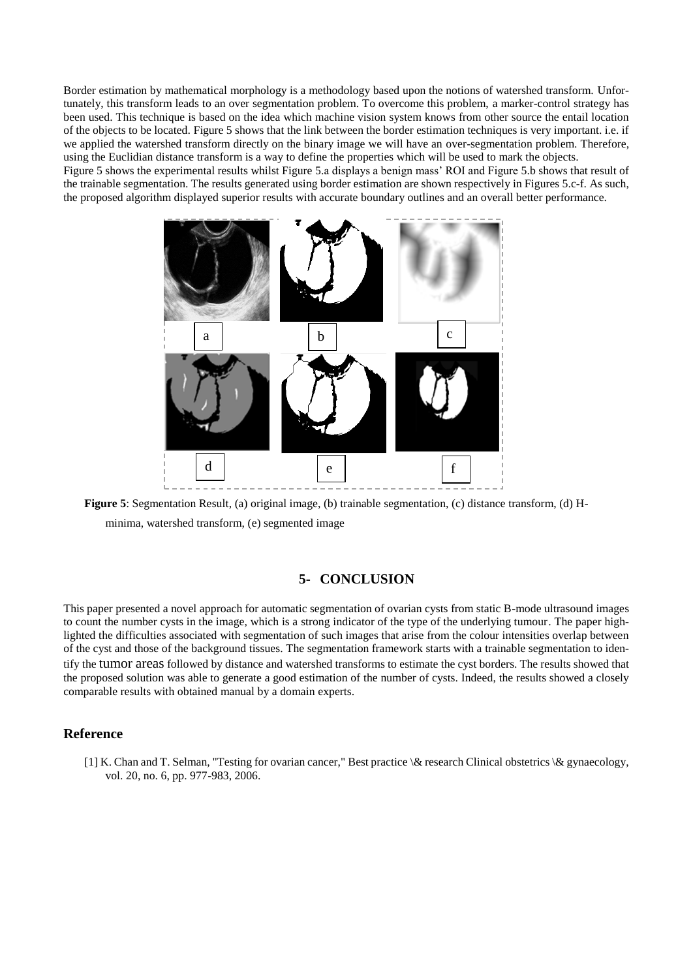Border estimation by mathematical morphology is a methodology based upon the notions of watershed transform. Unfortunately, this transform leads to an over segmentation problem. To overcome this problem, a marker-control strategy has been used. This technique is based on the idea which machine vision system knows from other source the entail location of the objects to be located. Figure 5 shows that the link between the border estimation techniques is very important. i.e. if we applied the watershed transform directly on the binary image we will have an over-segmentation problem. Therefore, using the Euclidian distance transform is a way to define the properties which will be used to mark the objects.

Figure 5 shows the experimental results whilst Figure 5.a displays a benign mass' ROI and Figure 5.b shows that result of the trainable segmentation. The results generated using border estimation are shown respectively in Figures 5.c-f. As such, the proposed algorithm displayed superior results with accurate boundary outlines and an overall better performance.



**Figure 5**: Segmentation Result, (a) original image, (b) trainable segmentation, (c) distance transform, (d) Hminima, watershed transform, (e) segmented image

# **5- CONCLUSION**

This paper presented a novel approach for automatic segmentation of ovarian cysts from static B-mode ultrasound images to count the number cysts in the image, which is a strong indicator of the type of the underlying tumour. The paper highlighted the difficulties associated with segmentation of such images that arise from the colour intensities overlap between of the cyst and those of the background tissues. The segmentation framework starts with a trainable segmentation to identify the tumor areas followed by distance and watershed transforms to estimate the cyst borders. The results showed that the proposed solution was able to generate a good estimation of the number of cysts. Indeed, the results showed a closely comparable results with obtained manual by a domain experts.

### **Reference**

[1] K. Chan and T. Selman, "Testing for ovarian cancer," Best practice \& research Clinical obstetrics \& gynaecology, vol. 20, no. 6, pp. 977-983, 2006.